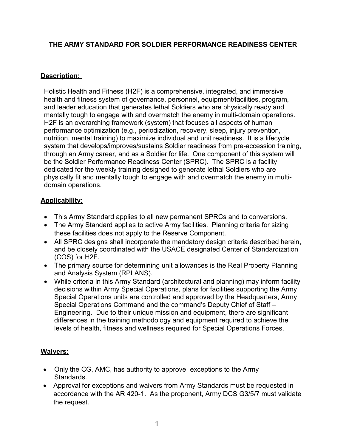## **THE ARMY STANDARD FOR SOLDIER PERFORMANCE READINESS CENTER**

### **Description:**

Holistic Health and Fitness (H2F) is a comprehensive, integrated, and immersive health and fitness system of governance, personnel, equipment/facilities, program, and leader education that generates lethal Soldiers who are physically ready and mentally tough to engage with and overmatch the enemy in multi-domain operations. H2F is an overarching framework (system) that focuses all aspects of human performance optimization (e.g., periodization, recovery, sleep, injury prevention, nutrition, mental training) to maximize individual and unit readiness. It is a lifecycle system that develops/improves/sustains Soldier readiness from pre-accession training, through an Army career, and as a Soldier for life. One component of this system will be the Soldier Performance Readiness Center (SPRC). The SPRC is a facility dedicated for the weekly training designed to generate lethal Soldiers who are physically fit and mentally tough to engage with and overmatch the enemy in multidomain operations.

#### **Applicability:**

- This Army Standard applies to all new permanent SPRCs and to conversions.
- The Army Standard applies to active Army facilities. Planning criteria for sizing these facilities does not apply to the Reserve Component.
- All SPRC designs shall incorporate the mandatory design criteria described herein, and be closely coordinated with the USACE designated Center of Standardization (COS) for H2F.
- The primary source for determining unit allowances is the Real Property Planning and Analysis System (RPLANS).
- While criteria in this Army Standard (architectural and planning) may inform facility decisions within Army Special Operations, plans for facilities supporting the Army Special Operations units are controlled and approved by the Headquarters, Army Special Operations Command and the command's Deputy Chief of Staff – Engineering. Due to their unique mission and equipment, there are significant differences in the training methodology and equipment required to achieve the levels of health, fitness and wellness required for Special Operations Forces.

## **Waivers:**

- Only the CG, AMC, has authority to approve exceptions to the Army Standards.
- Approval for exceptions and waivers from Army Standards must be requested in accordance with the AR 420-1. As the proponent, Army DCS G3/5/7 must validate the request.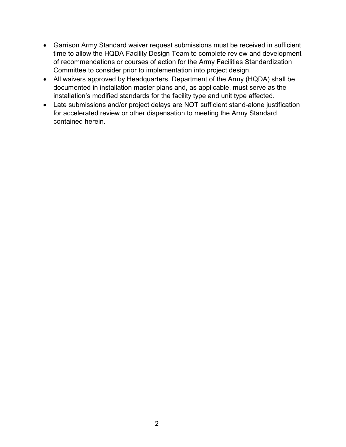- Garrison Army Standard waiver request submissions must be received in sufficient time to allow the HQDA Facility Design Team to complete review and development of recommendations or courses of action for the Army Facilities Standardization Committee to consider prior to implementation into project design.
- All waivers approved by Headquarters, Department of the Army (HQDA) shall be documented in installation master plans and, as applicable, must serve as the installation's modified standards for the facility type and unit type affected.
- Late submissions and/or project delays are NOT sufficient stand-alone justification for accelerated review or other dispensation to meeting the Army Standard contained herein.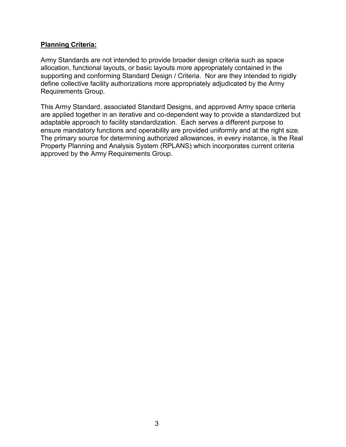#### **Planning Criteria:**

Army Standards are not intended to provide broader design criteria such as space allocation, functional layouts, or basic layouts more appropriately contained in the supporting and conforming Standard Design / Criteria. Nor are they intended to rigidly define collective facility authorizations more appropriately adjudicated by the Army Requirements Group.

This Army Standard, associated Standard Designs, and approved Army space criteria are applied together in an iterative and co-dependent way to provide a standardized but adaptable approach to facility standardization. Each serves a different purpose to ensure mandatory functions and operability are provided uniformly and at the right size. The primary source for determining authorized allowances, in every instance, is the Real Property Planning and Analysis System (RPLANS) which incorporates current criteria approved by the Army Requirements Group.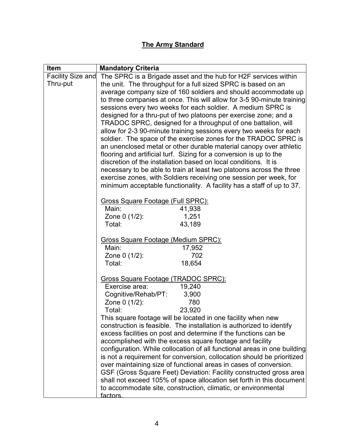# **The Army Standard**

| Item                     | <b>Mandatory Criteria</b>                                                                                                                   |
|--------------------------|---------------------------------------------------------------------------------------------------------------------------------------------|
| <b>Facility Size and</b> | The SPRC is a Brigade asset and the hub for H2F services within                                                                             |
| Thru-put                 | the unit. The throughput for a full sized SPRC is based on an                                                                               |
|                          | average company size of 160 soldiers and should accommodate up                                                                              |
|                          | to three companies at once. This will allow for 3-5 90-minute training                                                                      |
|                          | sessions every two weeks for each soldier. A medium SPRC is                                                                                 |
|                          | designed for a thru-put of two platoons per exercise zone; and a                                                                            |
|                          | TRADOC SPRC, designed for a throughput of one battalion, will                                                                               |
|                          | allow for 2-3 90-minute training sessions every two weeks for each                                                                          |
|                          | soldier. The space of the exercise zones for the TRADOC SPRC is                                                                             |
|                          | an unenclosed metal or other durable material canopy over athletic                                                                          |
|                          | flooring and artificial turf. Sizing for a conversion is up to the                                                                          |
|                          | discretion of the installation based on local conditions. It is                                                                             |
|                          | necessary to be able to train at least two platoons across the three<br>exercise zones, with Soldiers receiving one session per week, for   |
|                          | minimum acceptable functionality. A facility has a staff of up to 37.                                                                       |
|                          |                                                                                                                                             |
|                          | Gross Square Footage (Full SPRC):                                                                                                           |
|                          | Main:<br>41,938                                                                                                                             |
|                          | Zone 0 (1/2):<br>1,251                                                                                                                      |
|                          | Total:<br>43,189                                                                                                                            |
|                          |                                                                                                                                             |
|                          | <b>Gross Square Footage (Medium SPRC):</b><br>Main:<br>17,952                                                                               |
|                          | 702<br>Zone 0 (1/2):                                                                                                                        |
|                          | Total:<br>18,654                                                                                                                            |
|                          |                                                                                                                                             |
|                          | Gross Square Footage (TRADOC SPRC):                                                                                                         |
|                          | 19,240<br>Exercise area:                                                                                                                    |
|                          | Cognitive/Rehab/PT:<br>3,900                                                                                                                |
|                          | 780<br>Zone 0 (1/2):                                                                                                                        |
|                          | 23,920<br>Total:                                                                                                                            |
|                          | This square footage will be located in one facility when new                                                                                |
|                          | construction is feasible. The installation is authorized to identify                                                                        |
|                          | excess facilities on post and determine if the functions can be                                                                             |
|                          | accomplished with the excess square footage and facility                                                                                    |
|                          | configuration. While collocation of all functional areas in one building                                                                    |
|                          | is not a requirement for conversion, collocation should be prioritized<br>over maintaining size of functional areas in cases of conversion. |
|                          | GSF (Gross Square Feet) Deviation: Facility constructed gross area                                                                          |
|                          | shall not exceed 105% of space allocation set forth in this document                                                                        |
|                          | to accommodate site, construction, climatic, or environmental                                                                               |
|                          | factors                                                                                                                                     |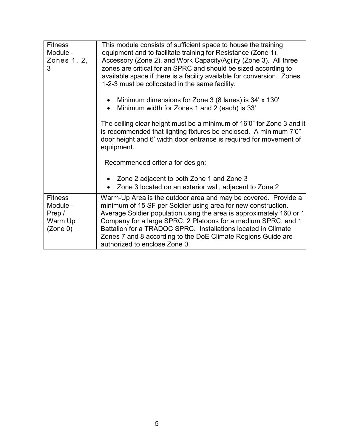| <b>Fitness</b><br>Module -<br>Zones 1, 2,<br>3             | This module consists of sufficient space to house the training<br>equipment and to facilitate training for Resistance (Zone 1),<br>Accessory (Zone 2), and Work Capacity/Agility (Zone 3). All three<br>zones are critical for an SPRC and should be sized according to<br>available space if there is a facility available for conversion. Zones<br>1-2-3 must be collocated in the same facility.<br>Minimum dimensions for Zone 3 (8 lanes) is 34' x 130'<br>Minimum width for Zones 1 and 2 (each) is 33'<br>The ceiling clear height must be a minimum of 16'0" for Zone 3 and it<br>is recommended that lighting fixtures be enclosed. A minimum 7'0"<br>door height and 6' width door entrance is required for movement of<br>equipment.<br>Recommended criteria for design:<br>Zone 2 adjacent to both Zone 1 and Zone 3<br>Zone 3 located on an exterior wall, adjacent to Zone 2 |
|------------------------------------------------------------|--------------------------------------------------------------------------------------------------------------------------------------------------------------------------------------------------------------------------------------------------------------------------------------------------------------------------------------------------------------------------------------------------------------------------------------------------------------------------------------------------------------------------------------------------------------------------------------------------------------------------------------------------------------------------------------------------------------------------------------------------------------------------------------------------------------------------------------------------------------------------------------------|
| <b>Fitness</b><br>Module-<br>Prep /<br>Warm Up<br>(Zone 0) | Warm-Up Area is the outdoor area and may be covered. Provide a<br>minimum of 15 SF per Soldier using area for new construction.<br>Average Soldier population using the area is approximately 160 or 1<br>Company for a large SPRC, 2 Platoons for a medium SPRC, and 1<br>Battalion for a TRADOC SPRC. Installations located in Climate<br>Zones 7 and 8 according to the DoE Climate Regions Guide are<br>authorized to enclose Zone 0.                                                                                                                                                                                                                                                                                                                                                                                                                                                  |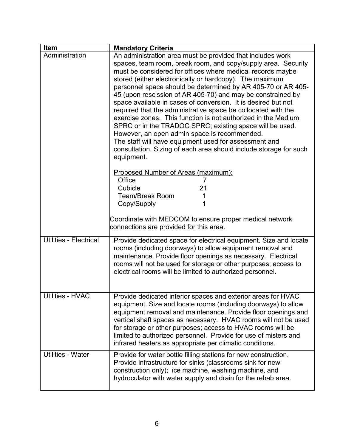| Item                          | <b>Mandatory Criteria</b>                                                                                                                                                                                                                                                                                                                                                                                                                                                                                                                                                                                                                                                                                                                                                                                                                                                                                                                                                                                                 |
|-------------------------------|---------------------------------------------------------------------------------------------------------------------------------------------------------------------------------------------------------------------------------------------------------------------------------------------------------------------------------------------------------------------------------------------------------------------------------------------------------------------------------------------------------------------------------------------------------------------------------------------------------------------------------------------------------------------------------------------------------------------------------------------------------------------------------------------------------------------------------------------------------------------------------------------------------------------------------------------------------------------------------------------------------------------------|
| Administration                | An administration area must be provided that includes work<br>spaces, team room, break room, and copy/supply area. Security<br>must be considered for offices where medical records maybe<br>stored (either electronically or hardcopy). The maximum<br>personnel space should be determined by AR 405-70 or AR 405-<br>45 (upon rescission of AR 405-70) and may be constrained by<br>space available in cases of conversion. It is desired but not<br>required that the administrative space be collocated with the<br>exercise zones. This function is not authorized in the Medium<br>SPRC or in the TRADOC SPRC; existing space will be used.<br>However, an open admin space is recommended.<br>The staff will have equipment used for assessment and<br>consultation. Sizing of each area should include storage for such<br>equipment.<br>Proposed Number of Areas (maximum):<br>Office<br>Cubicle<br>21<br><b>Team/Break Room</b><br>1<br>Copy/Supply<br>Coordinate with MEDCOM to ensure proper medical network |
| <b>Utilities - Electrical</b> | connections are provided for this area.<br>Provide dedicated space for electrical equipment. Size and locate<br>rooms (including doorways) to allow equipment removal and<br>maintenance. Provide floor openings as necessary. Electrical<br>rooms will not be used for storage or other purposes; access to<br>electrical rooms will be limited to authorized personnel.                                                                                                                                                                                                                                                                                                                                                                                                                                                                                                                                                                                                                                                 |
| <b>Utilities - HVAC</b>       | Provide dedicated interior spaces and exterior areas for HVAC<br>equipment. Size and locate rooms (including doorways) to allow<br>equipment removal and maintenance. Provide floor openings and<br>vertical shaft spaces as necessary. HVAC rooms will not be used<br>for storage or other purposes; access to HVAC rooms will be<br>limited to authorized personnel. Provide for use of misters and<br>infrared heaters as appropriate per climatic conditions.                                                                                                                                                                                                                                                                                                                                                                                                                                                                                                                                                         |
| <b>Utilities - Water</b>      | Provide for water bottle filling stations for new construction.<br>Provide infrastructure for sinks (classrooms sink for new<br>construction only); ice machine, washing machine, and<br>hydroculator with water supply and drain for the rehab area.                                                                                                                                                                                                                                                                                                                                                                                                                                                                                                                                                                                                                                                                                                                                                                     |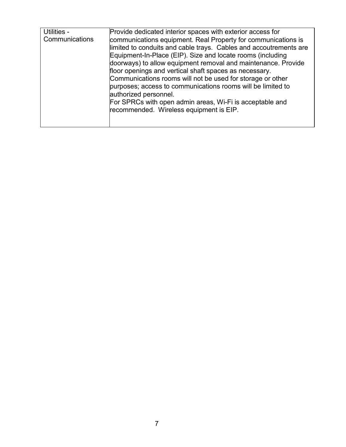| Utilities -<br>Communications | Provide dedicated interior spaces with exterior access for<br>communications equipment. Real Property for communications is<br>limited to conduits and cable trays. Cables and accoutrements are<br>Equipment-In-Place (EIP). Size and locate rooms (including<br>doorways) to allow equipment removal and maintenance. Provide<br>floor openings and vertical shaft spaces as necessary.<br>Communications rooms will not be used for storage or other<br>purposes; access to communications rooms will be limited to<br>authorized personnel.<br>For SPRCs with open admin areas, Wi-Fi is acceptable and<br>recommended. Wireless equipment is EIP. |
|-------------------------------|--------------------------------------------------------------------------------------------------------------------------------------------------------------------------------------------------------------------------------------------------------------------------------------------------------------------------------------------------------------------------------------------------------------------------------------------------------------------------------------------------------------------------------------------------------------------------------------------------------------------------------------------------------|
|-------------------------------|--------------------------------------------------------------------------------------------------------------------------------------------------------------------------------------------------------------------------------------------------------------------------------------------------------------------------------------------------------------------------------------------------------------------------------------------------------------------------------------------------------------------------------------------------------------------------------------------------------------------------------------------------------|